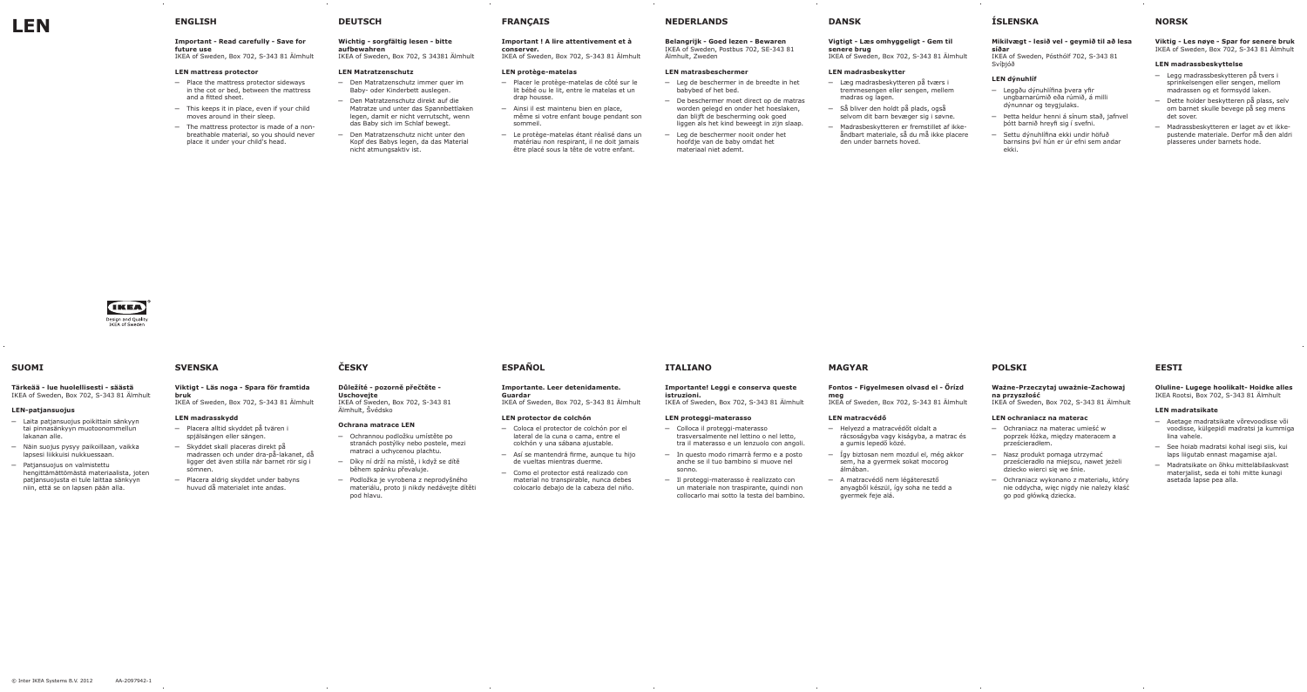# **Important - Read carefully - Save for future use**

IKEA of Sweden, Box 702, S-343 81 Älmhult

# **LEN mattress protector**

- ─ Place the mattress protector sideways in the cot or bed, between the mattress and a fitted sheet.
- ─ This keeps it in place, even if your child moves around in their sleep.
- ─ The mattress protector is made of a nonbreathable material, so you should never place it under your child's head.

# **DEUTSCH**

# **Wichtig - sorgfältig lesen - bitte**

**aufbewahren** IKEA of Sweden, Box 702, S 34381 Älmhult

#### **LEN Matratzenschutz**

- ─ Den Matratzenschutz immer quer im Baby- oder Kinderbett auslegen.
- ─ Den Matratzenschutz direkt auf die Matratze und unter das Spannbettlaken legen, damit er nicht verrutscht, wenn das Baby sich im Schlaf bewegt.
- ─ Den Matratzenschutz nicht unter den Kopf des Babys legen, da das Material nicht atmungsaktiv ist.

# **FRANÇAIS**

### **Important ! A lire attentivement et à conserver.**

IKEA of Sweden, Box 702, S-343 81 Älmhult

#### **LEN protège-matelas**

- ─ Placer le protège-matelas de côté sur le lit bébé ou le lit, entre le matelas et un drap housse.
- ─ Ainsi il est maintenu bien en place, même si votre enfant bouge pendant son sommeil.
- ─ Le protège-matelas étant réalisé dans un matériau non respirant, il ne doit jamais être placé sous la tête de votre enfant.

**NEDERLANDS**

### **Belangrijk - Goed lezen - Bewaren** IKEA of Sweden, Postbus 702, SE-343 81 Älmhult, Zweden

# **LEN matrasbeschermer**

- ─ De beschermer moet direct op de matras
	-
- ─ Leg de beschermer in de breedte in het babybed of het bed.
- worden gelegd en onder het hoeslaken, dan blijft de bescherming ook goed liggen als het kind beweegt in zijn slaap.
- Leg de beschermer nooit onder het hoofdje van de baby omdat het materiaal niet ademt.



# **DANSK**

### **Vigtigt - Læs omhyggeligt - Gem til senere brug** IKEA of Sweden, Box 702, S-343 81 Älmhult

# **LEN madrasbeskytter**

- ─ Læg madrasbeskytteren på tværs i tremmesengen eller sengen, mellem madras og lagen.
- ─ Så bliver den holdt på plads, også selvom dit barn bevæger sig i søvne.
- ─ Madrasbeskytteren er fremstillet af ikkeåndbart materiale, så du må ikke placere den under barnets hoved.

# **ÍSLENSKA**

# **Mikilvægt - lesið vel - geymið til að lesa síðar**

IKEA of Sweden, Pósthólf 702, S-343 81 Svíþjóð

# **LEN dýnuhlíf**

- ─ Leggðu dýnuhlífina þvera yfir ungbarnarúmið eða rúmið, á milli dýnunnar og teygjulaks.
- ─ Þetta heldur henni á sínum stað, jafnvel þótt barnið hreyfi sig í svefni.
- ─ Settu dýnuhlífina ekki undir höfuð barnsins því hún er úr efni sem andar ekki.

# **NORSK**

**Viktig - Les nøye - Spar for senere bruk** IKEA of Sweden, Box 702, S-343 81 Älmhult

# **LEN madrassbeskyttelse**

- ─ Legg madrassbeskytteren på tvers i sprinkelsengen eller sengen, mellom madrassen og et formsydd laken.
- ─ Dette holder beskytteren på plass, selv om barnet skulle bevege på seg mens det sover.
- ─ Madrassbeskytteren er laget av et ikkepustende materiale. Derfor må den aldri plasseres under barnets hode.

# **SUOMI**

### **Tärkeää - lue huolellisesti - säästä** IKEA of Sweden, Box 702, S-343 81 Älmhult

### **LEN-patjansuojus**

- ─ Laita patjansuojus poikittain sänkyyn tai pinnasänkyyn muotoonommellun lakanan alle.
- ─ Näin suojus pysyy paikoillaan, vaikka lapsesi liikkuisi nukkuessaan.
- Patjansuojus on valmistettu hengittämättömästä materiaalista, joten patjansuojusta ei tule laittaa sänkyyn niin, että se on lapsen pään alla.

# **SVENSKA**

#### **Viktigt - Läs noga - Spara för framtida bruk** IKEA of Sweden, Box 702, S-343 81 Älmhult

**LEN madrasskydd**

- ─ Placera alltid skyddet på tvären i
- spjälsängen eller sängen. ─ Skyddet skall placeras direkt på madrassen och under dra-på-lakanet, då ligger det även stilla när barnet rör sig i sömnen.
- ─ Placera aldrig skyddet under babyns huvud då materialet inte andas.

# **ČESKY**

#### **Důležíté - pozorně přečtěte - Uschovejte**

IKEA of Sweden, Box 702, S-343 81 Älmhult, Švédsko

### **Ochrana matrace LEN**

- ─ Ochrannou podložku umístěte po stranách postýlky nebo postele, mezi matraci a uchycenou plachtu.
- ─ Díky ní drží na místě, i když se dítě během spánku převaluje.
- ─ Podložka je vyrobena z neprodyšného materiálu, proto ji nikdy nedávejte dítěti pod hlavu.

# **ESPAÑOL**

#### **Importante. Leer detenidamente. Guardar**

IKEA of Sweden, Box 702, S-343 81 Älmhult

# **LEN protector de colchón**

- ─ Coloca el protector de colchón por el lateral de la cuna o cama, entre el colchón y una sábana ajustable.
- ─ Así se mantendrá firme, aunque tu hijo de vueltas mientras duerme.
- ─ Como el protector está realizado con material no transpirable, nunca debes colocarlo debajo de la cabeza del niño.

# **ITALIANO**

# **Importante! Leggi e conserva queste istruzioni.**

IKEA of Sweden, Box 702, S-343 81 Älmhult

# **LEN proteggi-materasso**

- ─ Colloca il proteggi-materasso trasversalmente nel lettino o nel letto, tra il materasso e un lenzuolo con angoli.
- ─ In questo modo rimarrà fermo e a posto anche se il tuo bambino si muove nel sonno.
- ─ Il proteggi-materasso è realizzato con un materiale non traspirante, quindi non collocarlo mai sotto la testa del bambino.

# **MAGYAR**

# **Fontos - Figyelmesen olvasd el - Őrízd**

# **meg**

IKEA of Sweden, Box 702, S-343 81 Älmhult

# **LEN matracvédő**

- ─ Helyezd a matracvédőt oldalt a rácsoságyba vagy kiságyba, a matrac és a gumis lepedő közé.
- ─ Így biztosan nem mozdul el, még akkor sem, ha a gyermek sokat mocorog álmában.
- ─ A matracvédő nem légáteresztő anyagből készül, így soha ne tedd a gyermek feje alá.

# **POLSKI**

# **Ważne-Przeczytaj uważnie-Zachowaj na przyszłość**

IKEA of Sweden, Box 702, S-343 81 Älmhult

# **LEN ochraniacz na materac**

- ─ Ochraniacz na materac umieść w poprzek łóżka, między materacem a prześcieradłem.
- ─ Nasz produkt pomaga utrzymać prześcieradło na miejscu, nawet jeżeli dziecko wierci się we śnie.
- ─ Ochraniacz wykonano z materiału, który nie oddycha, więc nigdy nie należy kłaść go pod główką dziecka.

# **EESTI**

# **Oluline- Lugege hoolikalt- Hoidke alles** IKEA Rootsi, Box 702, S-343 81 Älmhult

# **LEN madratsikate**

- ─ Asetage madratsikate võrevoodisse või voodisse, külgepidi madratsi ja kummiga lina vahele.
- ─ See hoiab madratsi kohal isegi siis, kui laps liigutab ennast magamise ajal.
- ─ Madratsikate on õhku mitteläbilaskvast materjalist, seda ei tohi mitte kunagi asetada lapse pea alla.